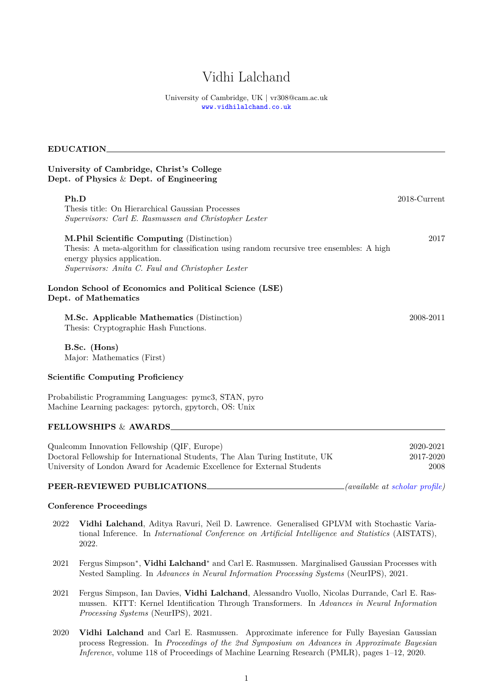# Vidhi Lalchand

University of Cambridge, UK | vr308@cam.ac.uk <www.vidhilalchand.co.uk>

## **EDUCATION**

## **University of Cambridge, Christ's College Dept. of Physics** & **Dept. of Engineering**

| Ph.D                                                                                                                                                                                                                       | $2018$ -Current |
|----------------------------------------------------------------------------------------------------------------------------------------------------------------------------------------------------------------------------|-----------------|
| Thesis title: On Hierarchical Gaussian Processes                                                                                                                                                                           |                 |
| Supervisors: Carl E. Rasmussen and Christopher Lester                                                                                                                                                                      |                 |
| M.Phil Scientific Computing (Distinction)<br>Thesis: A meta-algorithm for classification using random recursive tree ensembles: A high<br>energy physics application.<br>Supervisors: Anita C. Faul and Christopher Lester | 2017            |
| London School of Economics and Political Science (LSE)<br>Dept. of Mathematics                                                                                                                                             |                 |
| M.Sc. Applicable Mathematics (Distinction)<br>Thesis: Cryptographic Hash Functions.                                                                                                                                        | 2008-2011       |
| B.Sc. (Hons)<br>Major: Mathematics (First)                                                                                                                                                                                 |                 |
| <b>Scientific Computing Proficiency</b>                                                                                                                                                                                    |                 |
| Probabilistic Programming Languages: pymc3, STAN, pyro<br>Machine Learning packages: pytorch, gpytorch, OS: Unix                                                                                                           |                 |
| <b>FELLOWSHIPS &amp; AWARDS</b>                                                                                                                                                                                            |                 |
|                                                                                                                                                                                                                            |                 |

| Qualcomm Innovation Fellowship (QIF, Europe)<br>Doctoral Fellowship for International Students, The Alan Turing Institute, UK<br>University of London Award for Academic Excellence for External Students | 2020-2021<br>2017-2020<br>2008 |
|-----------------------------------------------------------------------------------------------------------------------------------------------------------------------------------------------------------|--------------------------------|
|-----------------------------------------------------------------------------------------------------------------------------------------------------------------------------------------------------------|--------------------------------|

## **PEER-REVIEWED PUBLICATIONS** *(available at [scholar profile\)](https://scholar.google.com/citations?user=c69gjE4AAAAJ&hl=en)*

## **Conference Proceedings**

- 2022 **Vidhi Lalchand**, Aditya Ravuri, Neil D. Lawrence. Generalised GPLVM with Stochastic Variational Inference. In *International Conference on Artificial Intelligence and Statistics* (AISTATS), 2022.
- 2021 Fergus Simpson<sup>∗</sup> , **Vidhi Lalchand**<sup>∗</sup> and Carl E. Rasmussen. Marginalised Gaussian Processes with Nested Sampling. In *Advances in Neural Information Processing Systems* (NeurIPS), 2021.
- 2021 Fergus Simpson, Ian Davies, **Vidhi Lalchand**, Alessandro Vuollo, Nicolas Durrande, Carl E. Rasmussen. KITT: Kernel Identification Through Transformers. In *Advances in Neural Information Processing Systems* (NeurIPS), 2021.
- 2020 **Vidhi Lalchand** and Carl E. Rasmussen. Approximate inference for Fully Bayesian Gaussian process Regression. In *Proceedings of the 2nd Symposium on Advances in Approximate Bayesian Inference*, volume 118 of Proceedings of Machine Learning Research (PMLR), pages 1–12, 2020.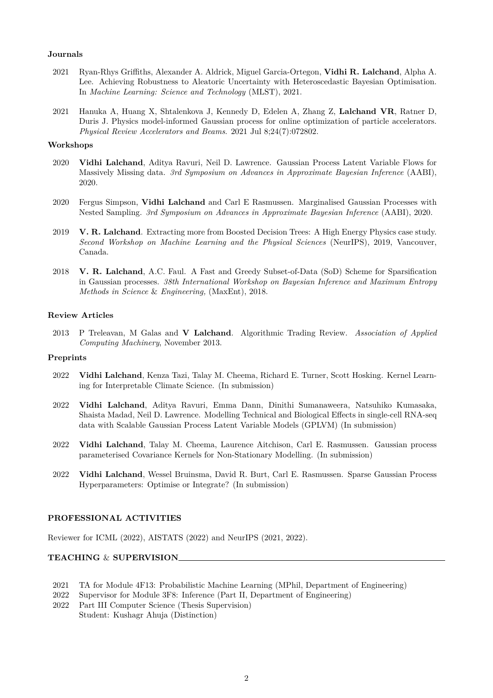### **Journals**

- 2021 Ryan-Rhys Griffiths, Alexander A. Aldrick, Miguel Garcia-Ortegon, **Vidhi R. Lalchand**, Alpha A. Lee. Achieving Robustness to Aleatoric Uncertainty with Heteroscedastic Bayesian Optimisation. In *Machine Learning: Science and Technology* (MLST), 2021.
- 2021 Hanuka A, Huang X, Shtalenkova J, Kennedy D, Edelen A, Zhang Z, **Lalchand VR**, Ratner D, Duris J. Physics model-informed Gaussian process for online optimization of particle accelerators. *Physical Review Accelerators and Beams*. 2021 Jul 8;24(7):072802.

#### **Workshops**

- 2020 **Vidhi Lalchand**, Aditya Ravuri, Neil D. Lawrence. Gaussian Process Latent Variable Flows for Massively Missing data. *3rd Symposium on Advances in Approximate Bayesian Inference* (AABI), 2020.
- 2020 Fergus Simpson, **Vidhi Lalchand** and Carl E Rasmussen. Marginalised Gaussian Processes with Nested Sampling. *3rd Symposium on Advances in Approximate Bayesian Inference* (AABI), 2020.
- 2019 **V. R. Lalchand**. Extracting more from Boosted Decision Trees: A High Energy Physics case study. *Second Workshop on Machine Learning and the Physical Sciences* (NeurIPS), 2019, Vancouver, Canada.
- 2018 **V. R. Lalchand**, A.C. Faul. A Fast and Greedy Subset-of-Data (SoD) Scheme for Sparsification in Gaussian processes. *38th International Workshop on Bayesian Inference and Maximum Entropy Methods in Science* & *Engineering,* (MaxEnt), 2018.

#### **Review Articles**

2013 P Treleavan, M Galas and **V Lalchand**. Algorithmic Trading Review. *Association of Applied Computing Machinery*, November 2013.

## **Preprints**

- 2022 **Vidhi Lalchand**, Kenza Tazi, Talay M. Cheema, Richard E. Turner, Scott Hosking. Kernel Learning for Interpretable Climate Science. (In submission)
- 2022 **Vidhi Lalchand**, Aditya Ravuri, Emma Dann, Dinithi Sumanaweera, Natsuhiko Kumasaka, Shaista Madad, Neil D. Lawrence. Modelling Technical and Biological Effects in single-cell RNA-seq data with Scalable Gaussian Process Latent Variable Models (GPLVM) (In submission)
- 2022 **Vidhi Lalchand**, Talay M. Cheema, Laurence Aitchison, Carl E. Rasmussen. Gaussian process parameterised Covariance Kernels for Non-Stationary Modelling. (In submission)
- 2022 **Vidhi Lalchand**, Wessel Bruinsma, David R. Burt, Carl E. Rasmussen. Sparse Gaussian Process Hyperparameters: Optimise or Integrate? (In submission)

#### **PROFESSIONAL ACTIVITIES**

Reviewer for ICML (2022), AISTATS (2022) and NeurIPS (2021, 2022).

## **TEACHING** & **SUPERVISION**

- 2021 TA for Module 4F13: Probabilistic Machine Learning (MPhil, Department of Engineering)
- 2022 Supervisor for Module 3F8: Inference (Part II, Department of Engineering)
- 2022 Part III Computer Science (Thesis Supervision) Student: Kushagr Ahuja (Distinction)